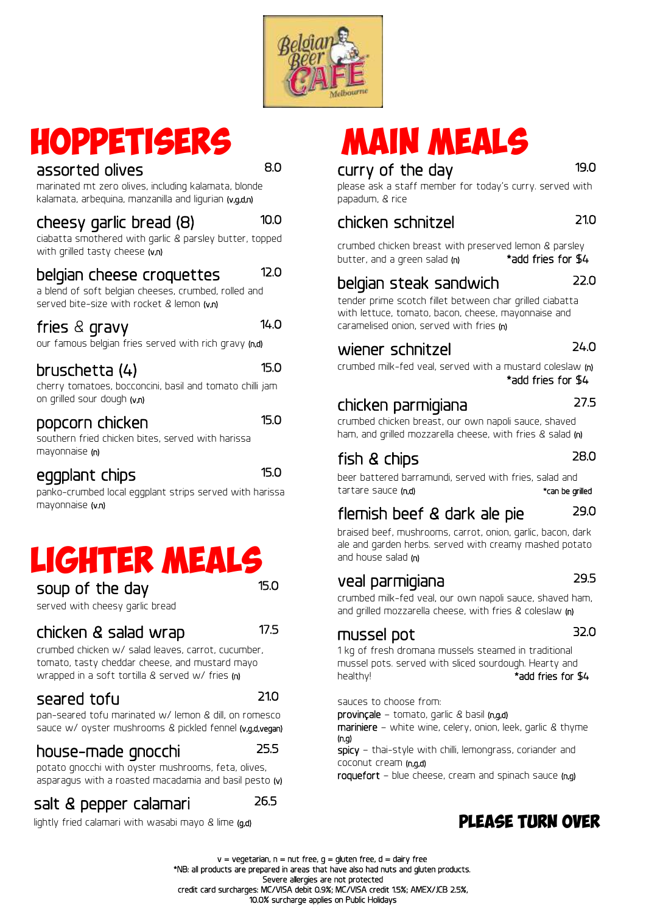

# Hoppetisers assorted olives and the 8.0

marinated mt zero olives, including kalamata, blonde kalamata, arbequina, manzanilla and ligurian (v,g,d,n)

#### cheesy garlic bread (8) 10.0

ciabatta smothered with garlic & parsley butter, topped with grilled tasty cheese (v,n)

#### belgian cheese croquettes 12.0

a blend of soft belgian cheeses, crumbed, rolled and served bite-size with rocket & lemon  $(v, n)$ 

### fries & gravy 14.0

our famous belgian fries served with rich gravy (n,d)

## bruschetta (4) 15.0

cherry tomatoes, bocconcini, basil and tomato chilli jam on grilled sour dough (v,n)

#### popcorn chicken 15.0

southern fried chicken bites, served with harissa mayonnaise (n)

### eggplant chips

15.0

panko-crumbed local eggplant strips served with harissa mayonnaise (v.n)

# lighter meals

soup of the day

served with cheesy garlic bread

# chicken & salad wrap

17.5

15.0

crumbed chicken w/ salad leaves, carrot, cucumber, tomato, tasty cheddar cheese, and mustard mayo wrapped in a soft tortilla & served w/ fries (n)

# seared tofu and 21.0

pan-seared tofu marinated w/ lemon & dill, on romesco sauce w/ oyster mushrooms & pickled fennel (v,g,d,vegan)

## house-made gnocchi 25.5

potato gnocchi with oyster mushrooms, feta, olives, asparagus with a roasted macadamia and basil pesto (v)

#### salt & pepper calamari 26.5

lightly fried calamari with wasabi mayo & lime (g,d)

# MAIN MEALS

# curry of the day 19.0

please ask a staff member for today's curry. served with papadum, & rice

# chicken schnitzel 21.0

crumbed chicken breast with preserved lemon & parsley butter, and a green salad  $(n)$  \*add fries for  $$4$ 

# belgian steak sandwich

tender prime scotch fillet between char grilled ciabatta with lettuce, tomato, bacon, cheese, mayonnaise and caramelised onion, served with fries (n)

# wiener schnitzel 24.0

crumbed milk-fed veal, served with a mustard coleslaw (n) \*add fries for \$4

# chicken parmigiana 27.5

22.0

crumbed chicken breast, our own napoli sauce, shaved ham, and grilled mozzarella cheese, with fries & salad (n)

# fish & chips

#### 28.0

beer battered barramundi, served with fries, salad and tartare sauce (n,d) \*can be grilled

# flemish beef & dark ale pie 29.0

braised beef, mushrooms, carrot, onion, garlic, bacon, dark ale and garden herbs. served with creamy mashed potato and house salad (n)

# veal parmigiana 29.5

crumbed milk-fed veal, our own napoli sauce, shaved ham, and grilled mozzarella cheese, with fries & coleslaw (n)

# mussel pot 32.0

1 kg of fresh dromana mussels steamed in traditional mussel pots. served with sliced sourdough. Hearty and healthy! **\*add fries for \$4** 

sauces to choose from:

provinçale – tomato, garlic & basil (n,g,d)

mariniere – white wine, celery, onion, leek, garlic & thyme (n,g)

spicy – thai-style with chilli, lemongrass, coriander and coconut cream (n,g,d)

roquefort – blue cheese, cream and spinach sauce (n,g)

# please turn over

 $v = v$ egetarian, n = nut free, g = gluten free, d = dairy free \*NB: all products are prepared in areas that have also had nuts and gluten products. Severe allergies are not protected credit card surcharges: MC/VISA debit 0.9%; MC/VISA credit 1.5%; AMEX/JCB 2.5%, 10.0% surcharge applies on Public Holidays